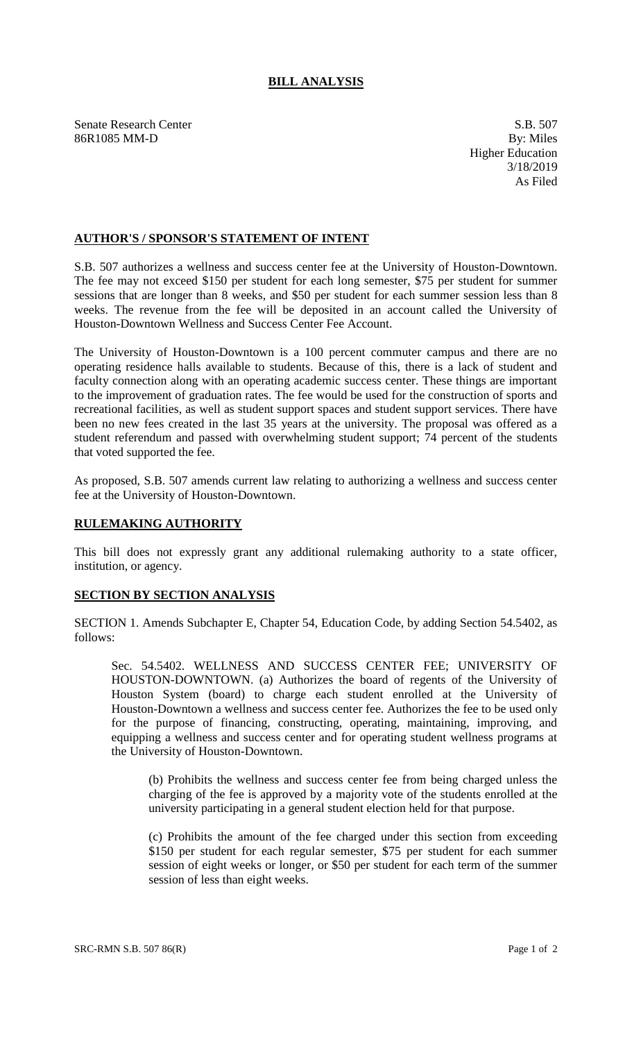## **BILL ANALYSIS**

Senate Research Center S.B. 507 86R1085 MM-D By: Miles

Higher Education 3/18/2019 As Filed

## **AUTHOR'S / SPONSOR'S STATEMENT OF INTENT**

S.B. 507 authorizes a wellness and success center fee at the University of Houston-Downtown. The fee may not exceed \$150 per student for each long semester, \$75 per student for summer sessions that are longer than 8 weeks, and \$50 per student for each summer session less than 8 weeks. The revenue from the fee will be deposited in an account called the University of Houston-Downtown Wellness and Success Center Fee Account.

The University of Houston-Downtown is a 100 percent commuter campus and there are no operating residence halls available to students. Because of this, there is a lack of student and faculty connection along with an operating academic success center. These things are important to the improvement of graduation rates. The fee would be used for the construction of sports and recreational facilities, as well as student support spaces and student support services. There have been no new fees created in the last 35 years at the university. The proposal was offered as a student referendum and passed with overwhelming student support; 74 percent of the students that voted supported the fee.

As proposed, S.B. 507 amends current law relating to authorizing a wellness and success center fee at the University of Houston-Downtown.

## **RULEMAKING AUTHORITY**

This bill does not expressly grant any additional rulemaking authority to a state officer, institution, or agency.

## **SECTION BY SECTION ANALYSIS**

SECTION 1. Amends Subchapter E, Chapter 54, Education Code, by adding Section 54.5402, as follows:

Sec. 54.5402. WELLNESS AND SUCCESS CENTER FEE; UNIVERSITY OF HOUSTON-DOWNTOWN. (a) Authorizes the board of regents of the University of Houston System (board) to charge each student enrolled at the University of Houston-Downtown a wellness and success center fee. Authorizes the fee to be used only for the purpose of financing, constructing, operating, maintaining, improving, and equipping a wellness and success center and for operating student wellness programs at the University of Houston-Downtown.

(b) Prohibits the wellness and success center fee from being charged unless the charging of the fee is approved by a majority vote of the students enrolled at the university participating in a general student election held for that purpose.

(c) Prohibits the amount of the fee charged under this section from exceeding \$150 per student for each regular semester, \$75 per student for each summer session of eight weeks or longer, or \$50 per student for each term of the summer session of less than eight weeks.